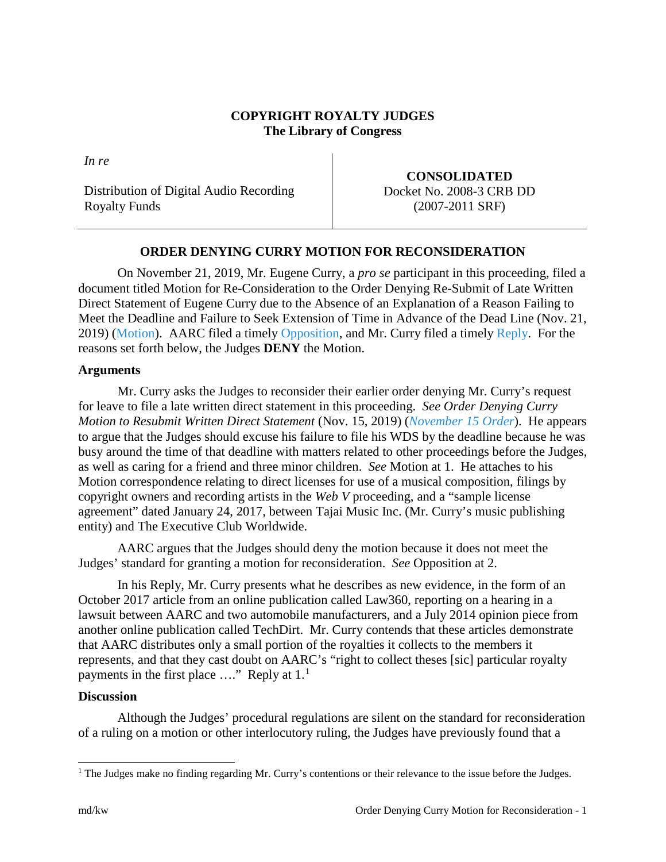## **COPYRIGHT ROYALTY JUDGES The Library of Congress**

*In re*

Distribution of Digital Audio Recording Royalty Funds

**CONSOLIDATED** Docket No. 2008-3 CRB DD (2007-2011 SRF)

# **ORDER DENYING CURRY MOTION FOR RECONSIDERATION**

On November 21, 2019, Mr. Eugene Curry, a *pro se* participant in this proceeding, filed a document titled Motion for Re-Consideration to the Order Denying Re-Submit of Late Written Direct Statement of Eugene Curry due to the Absence of an Explanation of a Reason Failing to Meet the Deadline and Failure to Seek Extension of Time in Advance of the Dead Line (Nov. 21, 2019) [\(Motion\)](https://app.crb.gov/case/viewDocument/15706). AARC filed a timely [Opposition,](https://app.crb.gov/case/viewDocument/15737) and Mr. Curry filed a timely [Reply.](https://app.crb.gov/case/viewDocument/15741) For the reasons set forth below, the Judges **DENY** the Motion.

## **Arguments**

Mr. Curry asks the Judges to reconsider their earlier order denying Mr. Curry's request for leave to file a late written direct statement in this proceeding. *See Order Denying Curry Motion to Resubmit Written Direct Statement* (Nov. 15, 2019) (*[November](https://app.crb.gov/case/viewDocument/15281) 15 Order*). He appears to argue that the Judges should excuse his failure to file his WDS by the deadline because he was busy around the time of that deadline with matters related to other proceedings before the Judges, as well as caring for a friend and three minor children. *See* Motion at 1. He attaches to his Motion correspondence relating to direct licenses for use of a musical composition, filings by copyright owners and recording artists in the *Web V* proceeding, and a "sample license agreement" dated January 24, 2017, between Tajai Music Inc. (Mr. Curry's music publishing entity) and The Executive Club Worldwide.

AARC argues that the Judges should deny the motion because it does not meet the Judges' standard for granting a motion for reconsideration. *See* Opposition at 2.

In his Reply, Mr. Curry presents what he describes as new evidence, in the form of an October 2017 article from an online publication called Law360, reporting on a hearing in a lawsuit between AARC and two automobile manufacturers, and a July 2014 opinion piece from another online publication called TechDirt. Mr. Curry contends that these articles demonstrate that AARC distributes only a small portion of the royalties it collects to the members it represents, and that they cast doubt on AARC's "right to collect theses [sic] particular royalty payments in the first place  $\dots$ " Reply at  $1<sup>1</sup>$  $1<sup>1</sup>$ 

## **Discussion**

Although the Judges' procedural regulations are silent on the standard for reconsideration of a ruling on a motion or other interlocutory ruling, the Judges have previously found that a

<span id="page-0-0"></span> $<sup>1</sup>$  The Judges make no finding regarding Mr. Curry's contentions or their relevance to the issue before the Judges.</sup>